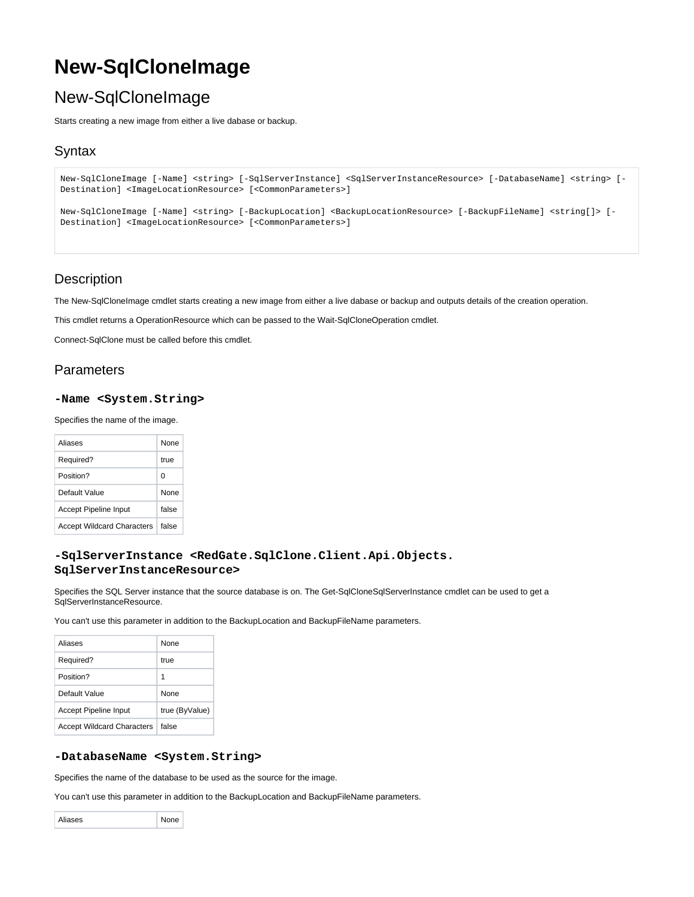# **New-SqlCloneImage**

# New-SqlCloneImage

Starts creating a new image from either a live dabase or backup.

# **Syntax**

```
New-SqlCloneImage [-Name] <string> [-SqlServerInstance] <SqlServerInstanceResource> [-DatabaseName] <string> [-
Destination] <ImageLocationResource> [<CommonParameters>]
New-SqlCloneImage [-Name] <string> [-BackupLocation] <BackupLocationResource> [-BackupFileName] <string[]> [-
Destination] <ImageLocationResource> [<CommonParameters>]
```
# **Description**

The New-SqlCloneImage cmdlet starts creating a new image from either a live dabase or backup and outputs details of the creation operation.

This cmdlet returns a OperationResource which can be passed to the Wait-SqlCloneOperation cmdlet.

Connect-SqlClone must be called before this cmdlet.

# **Parameters**

#### **-Name <System.String>**

Specifies the name of the image.

| Aliases                           | <b>None</b> |
|-----------------------------------|-------------|
| Required?                         | true        |
| Position?                         | ŋ           |
| Default Value                     | None        |
| <b>Accept Pipeline Input</b>      | false       |
| <b>Accept Wildcard Characters</b> | false       |

## **-SqlServerInstance <RedGate.SqlClone.Client.Api.Objects. SqlServerInstanceResource>**

Specifies the SQL Server instance that the source database is on. The Get-SqlCloneSqlServerInstance cmdlet can be used to get a SqlServerInstanceResource.

You can't use this parameter in addition to the BackupLocation and BackupFileName parameters.

| Aliases                           | <b>None</b>    |
|-----------------------------------|----------------|
| Required?                         | true           |
| Position?                         | 1              |
| Default Value                     | <b>None</b>    |
| Accept Pipeline Input             | true (ByValue) |
| <b>Accept Wildcard Characters</b> | false          |

### **-DatabaseName <System.String>**

Specifies the name of the database to be used as the source for the image.

You can't use this parameter in addition to the BackupLocation and BackupFileName parameters.

|         | 4ר |
|---------|----|
| aliases |    |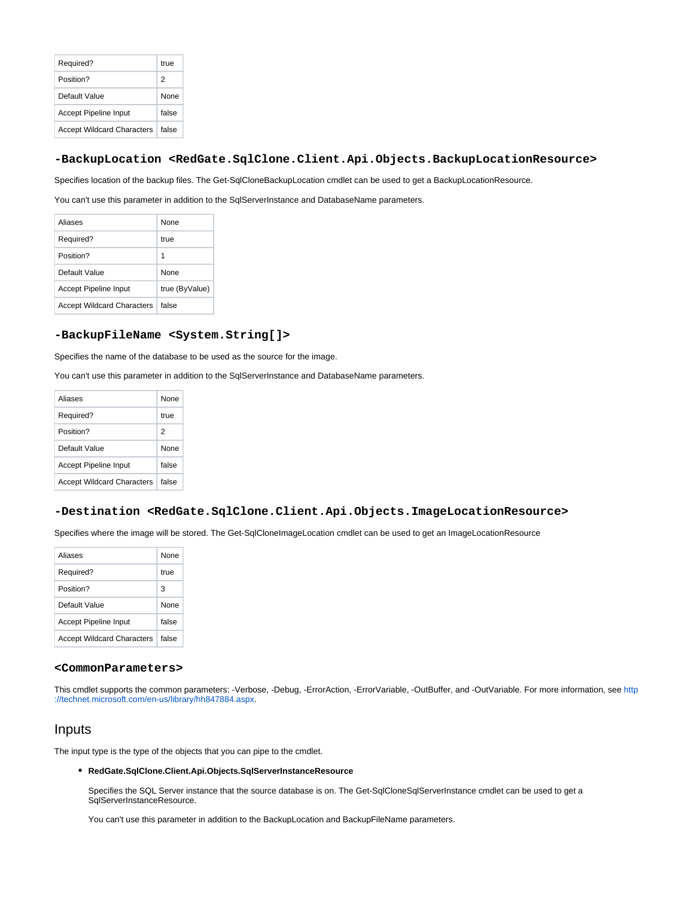| Required?                         | true        |
|-----------------------------------|-------------|
| Position?                         | 2           |
| Default Value                     | <b>None</b> |
| <b>Accept Pipeline Input</b>      | false       |
| <b>Accept Wildcard Characters</b> | false       |

#### **-BackupLocation <RedGate.SqlClone.Client.Api.Objects.BackupLocationResource>**

Specifies location of the backup files. The Get-SqlCloneBackupLocation cmdlet can be used to get a BackupLocationResource.

You can't use this parameter in addition to the SqlServerInstance and DatabaseName parameters.

| Aliases                           | None           |
|-----------------------------------|----------------|
| Required?                         | true           |
| Position?                         | 1              |
| Default Value                     | <b>None</b>    |
| Accept Pipeline Input             | true (ByValue) |
| <b>Accept Wildcard Characters</b> | false          |

## **-BackupFileName <System.String[]>**

Specifies the name of the database to be used as the source for the image.

You can't use this parameter in addition to the SqlServerInstance and DatabaseName parameters.

| Aliases                           | None        |
|-----------------------------------|-------------|
| Required?                         | true        |
| Position?                         | 2           |
| Default Value                     | <b>None</b> |
| Accept Pipeline Input             | false       |
| <b>Accept Wildcard Characters</b> | false       |

#### **-Destination <RedGate.SqlClone.Client.Api.Objects.ImageLocationResource>**

Specifies where the image will be stored. The Get-SqlCloneImageLocation cmdlet can be used to get an ImageLocationResource

| Aliases                           | <b>None</b> |
|-----------------------------------|-------------|
| Required?                         | true        |
| Position?                         | 3           |
| Default Value                     | <b>None</b> |
| Accept Pipeline Input             | false       |
| <b>Accept Wildcard Characters</b> | false       |

#### **<CommonParameters>**

This cmdlet supports the common parameters: -Verbose, -Debug, -ErrorAction, -ErrorVariable, -OutBuffer, and -OutVariable. For more information, see [http](http://technet.microsoft.com/en-us/library/hh847884.aspx) [://technet.microsoft.com/en-us/library/hh847884.aspx](http://technet.microsoft.com/en-us/library/hh847884.aspx).

## Inputs

The input type is the type of the objects that you can pipe to the cmdlet.

#### **RedGate.SqlClone.Client.Api.Objects.SqlServerInstanceResource**

Specifies the SQL Server instance that the source database is on. The Get-SqlCloneSqlServerInstance cmdlet can be used to get a SqlServerInstanceResource.

You can't use this parameter in addition to the BackupLocation and BackupFileName parameters.